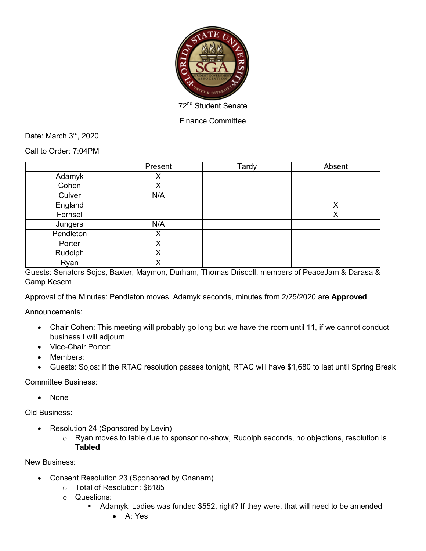

Finance Committee

Date: March 3rd, 2020

Call to Order: 7:04PM

|           | Present | Tardy | Absent |
|-----------|---------|-------|--------|
| Adamyk    | ∧       |       |        |
| Cohen     | Χ       |       |        |
| Culver    | N/A     |       |        |
| England   |         |       | Χ      |
| Fernsel   |         |       | X      |
| Jungers   | N/A     |       |        |
| Pendleton | X       |       |        |
| Porter    | X       |       |        |
| Rudolph   | Χ       |       |        |
| Ryan      | X       |       |        |

Guests: Senators Sojos, Baxter, Maymon, Durham, Thomas Driscoll, members of PeaceJam & Darasa & Camp Kesem

Approval of the Minutes: Pendleton moves, Adamyk seconds, minutes from 2/25/2020 are **Approved**

Announcements:

- Chair Cohen: This meeting will probably go long but we have the room until 11, if we cannot conduct business I will adjourn
- Vice-Chair Porter:
- Members:
- Guests: Sojos: If the RTAC resolution passes tonight, RTAC will have \$1,680 to last until Spring Break

Committee Business:

• None

Old Business:

- Resolution 24 (Sponsored by Levin)
	- o Ryan moves to table due to sponsor no-show, Rudolph seconds, no objections, resolution is **Tabled**

New Business:

- Consent Resolution 23 (Sponsored by Gnanam)
	- o Total of Resolution: \$6185
	- o Questions:
		- Adamyk: Ladies was funded \$552, right? If they were, that will need to be amended
			- A: Yes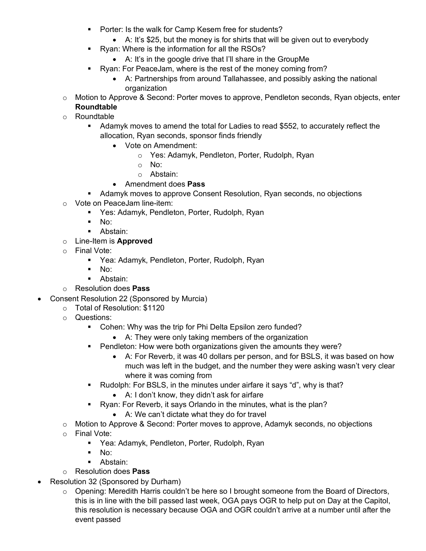- Porter: Is the walk for Camp Kesem free for students?
	- A: It's \$25, but the money is for shirts that will be given out to everybody
- § Ryan: Where is the information for all the RSOs?
	- A: It's in the google drive that I'll share in the GroupMe
- **Ryan: For PeaceJam, where is the rest of the money coming from?** 
	- A: Partnerships from around Tallahassee, and possibly asking the national organization
- $\circ$  Motion to Approve & Second: Porter moves to approve, Pendleton seconds, Ryan objects, enter **Roundtable**
- o Roundtable
	- Adamyk moves to amend the total for Ladies to read \$552, to accurately reflect the allocation, Ryan seconds, sponsor finds friendly
		- Vote on Amendment:
			- o Yes: Adamyk, Pendleton, Porter, Rudolph, Ryan
			- o No:
			- o Abstain:
		- Amendment does **Pass**
	- Adamyk moves to approve Consent Resolution, Ryan seconds, no objections
- o Vote on PeaceJam line-item:
	- Yes: Adamyk, Pendleton, Porter, Rudolph, Ryan
	- § No:
	- Abstain:
- o Line-Item is **Approved**
- o Final Vote:
	- Yea: Adamyk, Pendleton, Porter, Rudolph, Ryan
	- $\blacksquare$  No:
	- Abstain:
- o Resolution does **Pass**
- Consent Resolution 22 (Sponsored by Murcia)
	- o Total of Resolution: \$1120
		- o Questions:
			- Cohen: Why was the trip for Phi Delta Epsilon zero funded?
				- A: They were only taking members of the organization
			- Pendleton: How were both organizations given the amounts they were?
				- A: For Reverb, it was 40 dollars per person, and for BSLS, it was based on how much was left in the budget, and the number they were asking wasn't very clear where it was coming from
			- Rudolph: For BSLS, in the minutes under airfare it says "d", why is that?
				- A: I don't know, they didn't ask for airfare
			- Ryan: For Reverb, it says Orlando in the minutes, what is the plan?
				- A: We can't dictate what they do for travel
		- o Motion to Approve & Second: Porter moves to approve, Adamyk seconds, no objections
		- o Final Vote:
			- Yea: Adamyk, Pendleton, Porter, Rudolph, Ryan
			- $\blacksquare$  No:
			- Abstain:
		- o Resolution does **Pass**
- Resolution 32 (Sponsored by Durham)
	- o Opening: Meredith Harris couldn't be here so I brought someone from the Board of Directors, this is in line with the bill passed last week, OGA pays OGR to help put on Day at the Capitol, this resolution is necessary because OGA and OGR couldn't arrive at a number until after the event passed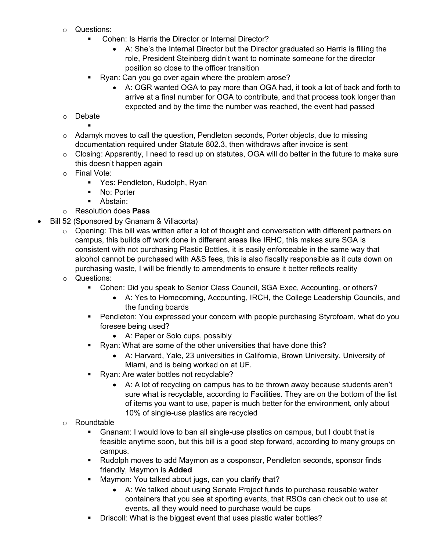- o Questions:
	- § Cohen: Is Harris the Director or Internal Director?
		- A: She's the Internal Director but the Director graduated so Harris is filling the role, President Steinberg didn't want to nominate someone for the director position so close to the officer transition
	- Ryan: Can you go over again where the problem arose?
		- A: OGR wanted OGA to pay more than OGA had, it took a lot of back and forth to arrive at a final number for OGA to contribute, and that process took longer than expected and by the time the number was reached, the event had passed
- o Debate
- §  $\circ$  Adamyk moves to call the question, Pendleton seconds, Porter objects, due to missing documentation required under Statute 802.3, then withdraws after invoice is sent
- $\circ$  Closing: Apparently, I need to read up on statutes, OGA will do better in the future to make sure this doesn't happen again
- o Final Vote:
	- § Yes: Pendleton, Rudolph, Ryan
	- No: Porter
	- Abstain:
- o Resolution does **Pass**
- Bill 52 (Sponsored by Gnanam & Villacorta)
	- o Opening: This bill was written after a lot of thought and conversation with different partners on campus, this builds off work done in different areas like IRHC, this makes sure SGA is consistent with not purchasing Plastic Bottles, it is easily enforceable in the same way that alcohol cannot be purchased with A&S fees, this is also fiscally responsible as it cuts down on purchasing waste, I will be friendly to amendments to ensure it better reflects reality
	- o Questions:
		- § Cohen: Did you speak to Senior Class Council, SGA Exec, Accounting, or others?
			- A: Yes to Homecoming, Accounting, IRCH, the College Leadership Councils, and the funding boards
		- Pendleton: You expressed your concern with people purchasing Styrofoam, what do you foresee being used?
			- A: Paper or Solo cups, possibly
		- Ryan: What are some of the other universities that have done this?
			- A: Harvard, Yale, 23 universities in California, Brown University, University of Miami, and is being worked on at UF.
		- Ryan: Are water bottles not recyclable?
			- A: A lot of recycling on campus has to be thrown away because students aren't sure what is recyclable, according to Facilities. They are on the bottom of the list of items you want to use, paper is much better for the environment, only about 10% of single-use plastics are recycled
	- o Roundtable
		- Gnanam: I would love to ban all single-use plastics on campus, but I doubt that is feasible anytime soon, but this bill is a good step forward, according to many groups on campus.
		- Rudolph moves to add Maymon as a cosponsor, Pendleton seconds, sponsor finds friendly, Maymon is **Added**
		- Maymon: You talked about jugs, can you clarify that?
			- A: We talked about using Senate Project funds to purchase reusable water containers that you see at sporting events, that RSOs can check out to use at events, all they would need to purchase would be cups
		- Driscoll: What is the biggest event that uses plastic water bottles?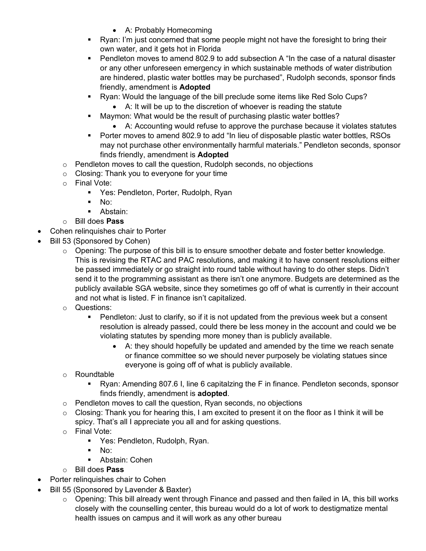- A: Probably Homecoming
- Ryan: I'm just concerned that some people might not have the foresight to bring their own water, and it gets hot in Florida
- Pendleton moves to amend 802.9 to add subsection A "In the case of a natural disaster or any other unforeseen emergency in which sustainable methods of water distribution are hindered, plastic water bottles may be purchased", Rudolph seconds, sponsor finds friendly, amendment is **Adopted**
- § Ryan: Would the language of the bill preclude some items like Red Solo Cups?
	- A: It will be up to the discretion of whoever is reading the statute
- Maymon: What would be the result of purchasing plastic water bottles?
	- A: Accounting would refuse to approve the purchase because it violates statutes
- Porter moves to amend 802.9 to add "In lieu of disposable plastic water bottles, RSOs may not purchase other environmentally harmful materials." Pendleton seconds, sponsor finds friendly, amendment is **Adopted**
- o Pendleton moves to call the question, Rudolph seconds, no objections
- o Closing: Thank you to everyone for your time
- o Final Vote:
	- § Yes: Pendleton, Porter, Rudolph, Ryan
	- § No:
	- Abstain:
- o Bill does **Pass**
- Cohen relinquishes chair to Porter
- Bill 53 (Sponsored by Cohen)
	- $\circ$  Opening: The purpose of this bill is to ensure smoother debate and foster better knowledge. This is revising the RTAC and PAC resolutions, and making it to have consent resolutions either be passed immediately or go straight into round table without having to do other steps. Didn't send it to the programming assistant as there isn't one anymore. Budgets are determined as the publicly available SGA website, since they sometimes go off of what is currently in their account and not what is listed. F in finance isn't capitalized.
	- o Questions:
		- Pendleton: Just to clarify, so if it is not updated from the previous week but a consent resolution is already passed, could there be less money in the account and could we be violating statutes by spending more money than is publicly available.
			- A: they should hopefully be updated and amended by the time we reach senate or finance committee so we should never purposely be violating statues since everyone is going off of what is publicly available.
	- o Roundtable
		- § Ryan: Amending 807.6 I, line 6 capitalzing the F in finance. Pendleton seconds, sponsor finds friendly, amendment is **adopted**.
	- o Pendleton moves to call the question, Ryan seconds, no objections
	- $\circ$  Closing: Thank you for hearing this, I am excited to present it on the floor as I think it will be spicy. That's all I appreciate you all and for asking questions.
	- o Final Vote:
		- Yes: Pendleton, Rudolph, Ryan.
		- § No:
		- Abstain: Cohen
	- o Bill does **Pass**
- Porter relinquishes chair to Cohen
- Bill 55 (Sponsored by Lavender & Baxter)
	- $\circ$  Opening: This bill already went through Finance and passed and then failed in IA, this bill works closely with the counselling center, this bureau would do a lot of work to destigmatize mental health issues on campus and it will work as any other bureau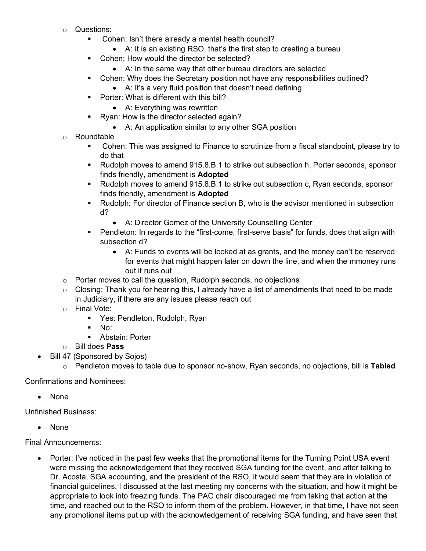- o Questions:
	- Cohen: Isn't there already a mental health council?
		- A: It is an existing RSO, that's the first step to creating a bureau
	- Cohen: How would the director be selected?
		- A: In the same way that other bureau directors are selected
	- Cohen: Why does the Secretary position not have any responsibilities outlined?
		- A: It's a very fluid position that doesn't need defining
	- Porter: What is different with this bill?
		- A: Everything was rewritten
	- Ryan: How is the director selected again?
		- A: An application similar to any other SGA position
- o Roundtable
	- § Cohen: This was assigned to Finance to scrutinize from a fiscal standpoint, please try to do that
	- § Rudolph moves to amend 915.8.B.1 to strike out subsection h, Porter seconds, sponsor finds friendly, amendment is **Adopted**
	- § Rudolph moves to amend 915.8.B.1 to strike out subsection c, Ryan seconds, sponsor finds friendly, amendment is **Adopted**
	- Rudolph: For director of Finance section B, who is the advisor mentioned in subsection d?
		- A: Director Gomez of the University Counselling Center
	- Pendleton: In regards to the "first-come, first-serve basis" for funds, does that align with subsection d?
		- A: Funds to events will be looked at as grants, and the money can't be reserved for events that might happen later on down the line, and when the mmoney runs out it runs out
- o Porter moves to call the question, Rudolph seconds, no objections
- $\circ$  Closing: Thank you for hearing this, I already have a list of amendments that need to be made in Judiciary, if there are any issues please reach out
- o Final Vote:
	- § Yes: Pendleton, Rudolph, Ryan
	- $\blacksquare$  No:
	- Abstain: Porter
- o Bill does **Pass**
- Bill 47 (Sponsored by Sojos)
	- o Pendleton moves to table due to sponsor no-show, Ryan seconds, no objections, bill is **Tabled**

Confirmations and Nominees:

• None

Unfinished Business:

• None

Final Announcements:

• Porter: I've noticed in the past few weeks that the promotional items for the Turning Point USA event were missing the acknowledgement that they received SGA funding for the event, and after talking to Dr. Acosta, SGA accounting, and the president of the RSO, it would seem that they are in violation of financial guidelines. I discussed at the last meeting my concerns with the situation, and how it might be appropriate to look into freezing funds. The PAC chair discouraged me from taking that action at the time, and reached out to the RSO to inform them of the problem. However, in that time, I have not seen any promotional items put up with the acknowledgement of receiving SGA funding, and have seen that